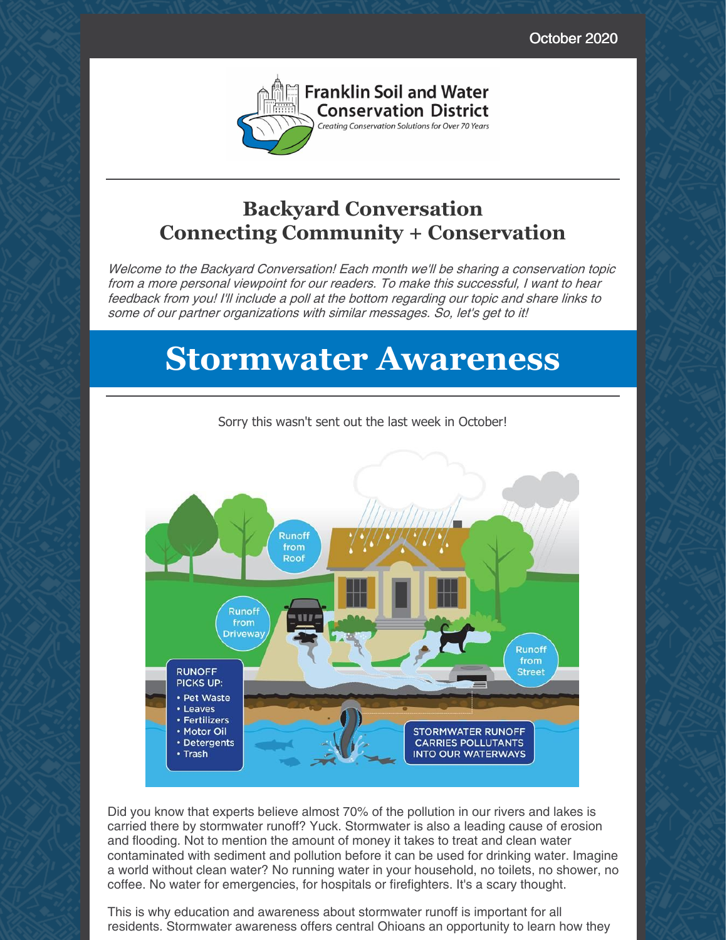October 2020



### **Backyard Conversation Connecting Community + Conservation**

Welcome to the Backyard Conversation! Each month we'll be sharing <sup>a</sup> conservation topic from <sup>a</sup> more personal viewpoint for our readers. To make this successful, I want to hear feedback from you! I'll include <sup>a</sup> poll at the bottom regarding our topic and share links to some of our partner organizations with similar messages. So, let's get to it!

# **Stormwater Awareness**



Sorry this wasn't sent out the last week in October!

Did you know that experts believe almost 70% of the pollution in our rivers and lakes is carried there by stormwater runoff? Yuck. Stormwater is also a leading cause of erosion and flooding. Not to mention the amount of money it takes to treat and clean water contaminated with sediment and pollution before it can be used for drinking water. Imagine a world without clean water? No running water in your household, no toilets, no shower, no coffee. No water for emergencies, for hospitals or firefighters. It's a scary thought.

This is why education and awareness about stormwater runoff is important for all residents. Stormwater awareness offers central Ohioans an opportunity to learn how they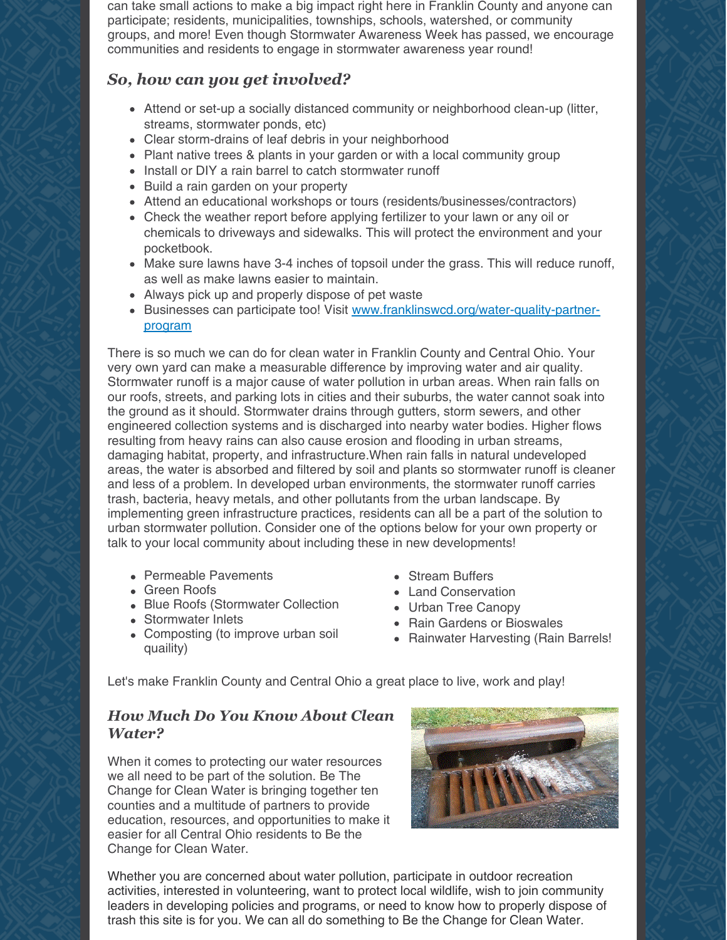can take small actions to make a big impact right here in Franklin County and anyone can participate; residents, municipalities, townships, schools, watershed, or community groups, and more! Even though Stormwater Awareness Week has passed, we encourage communities and residents to engage in stormwater awareness year round!

#### *So, how can you get involved?*

- Attend or set-up a socially distanced community or neighborhood clean-up (litter, streams, stormwater ponds, etc)
- Clear storm-drains of leaf debris in your neighborhood
- Plant native trees & plants in your garden or with a local community group
- Install or DIY a rain barrel to catch stormwater runoff
- Build a rain garden on your property
- Attend an educational workshops or tours (residents/businesses/contractors)
- Check the weather report before applying fertilizer to your lawn or any oil or chemicals to driveways and sidewalks. This will protect the environment and your pocketbook.
- Make sure lawns have 3-4 inches of topsoil under the grass. This will reduce runoff, as well as make lawns easier to maintain.
- Always pick up and properly dispose of pet waste
- Businesses can participate too! Visit [www.franklinswcd.org/water-quality-partner](http://www.franklinswcd.org/water-quality-partner-program)program

There is so much we can do for clean water in Franklin County and Central Ohio. Your very own yard can make a measurable difference by improving water and air quality. Stormwater runoff is a major cause of water pollution in urban areas. When rain falls on our roofs, streets, and parking lots in cities and their suburbs, the water cannot soak into the ground as it should. Stormwater drains through gutters, storm sewers, and other engineered collection systems and is discharged into nearby water bodies. Higher flows resulting from heavy rains can also cause erosion and flooding in urban streams, damaging habitat, property, and infrastructure.When rain falls in natural undeveloped areas, the water is absorbed and filtered by soil and plants so stormwater runoff is cleaner and less of a problem. In developed urban environments, the stormwater runoff carries trash, bacteria, heavy metals, and other pollutants from the urban landscape. By implementing green infrastructure practices, residents can all be a part of the solution to urban stormwater pollution. Consider one of the options below for your own property or talk to your local community about including these in new developments!

- Permeable Pavements
- **Green Roofs**
- Blue Roofs (Stormwater Collection
- Stormwater Inlets
- Composting (to improve urban soil quaility)
- Stream Buffers
- Land Conservation
- Urban Tree Canopy
- Rain Gardens or Bioswales
- Rainwater Harvesting (Rain Barrels!

Let's make Franklin County and Central Ohio a great place to live, work and play!

#### *How Much Do You Know About Clean Water?*

When it comes to protecting our water resources we all need to be part of the solution. Be The Change for Clean Water is bringing together ten counties and a multitude of partners to provide education, resources, and opportunities to make it easier for all Central Ohio residents to Be the Change for Clean Water.



Whether you are concerned about water pollution, participate in outdoor recreation activities, interested in volunteering, want to protect local wildlife, wish to join community leaders in developing policies and programs, or need to know how to properly dispose of trash this site is for you. We can all do something to Be the Change for Clean Water.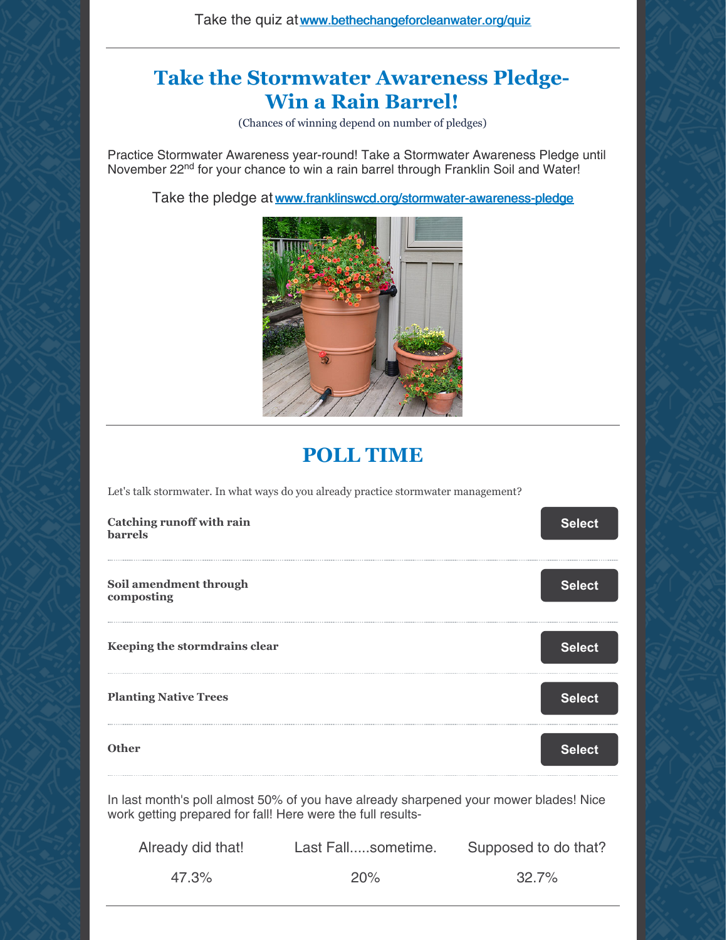#### **Take the Stormwater Awareness Pledge-Win a Rain Barrel!**

(Chances of winning depend on number of pledges)

Practice Stormwater Awareness year-round! Take a Stormwater Awareness Pledge until November 22<sup>nd</sup> for your chance to win a rain barrel through Franklin Soil and Water!

Take the pledge at [www.franklinswcd.org/stormwater-awareness-pledge](http://www.franklinswcd.org/stormwater-awareness-pledge)



## **POLL TIME**

Let's talk stormwater. In what ways do you already practice stormwater management?

| Catching runoff with rain<br>barrels                                                  | <b>Select</b> |  |
|---------------------------------------------------------------------------------------|---------------|--|
| Soil amendment through<br>composting                                                  | <b>Select</b> |  |
| Keeping the stormdrains clear                                                         | <b>Select</b> |  |
| <b>Planting Native Trees</b>                                                          | <b>Select</b> |  |
| <b>Other</b>                                                                          | <b>Select</b> |  |
| In last month's noll almost 50% of you have already sharpened your mower hlades! Nice |               |  |

l month's poll almost 50% of you have already sharpened your mower blades! Nice work getting prepared for fall! Here were the full results-

| Already did that! | Last Fallsometime. | Supposed to do that? |
|-------------------|--------------------|----------------------|
| 47.3%             | 20%                | 32.7%                |